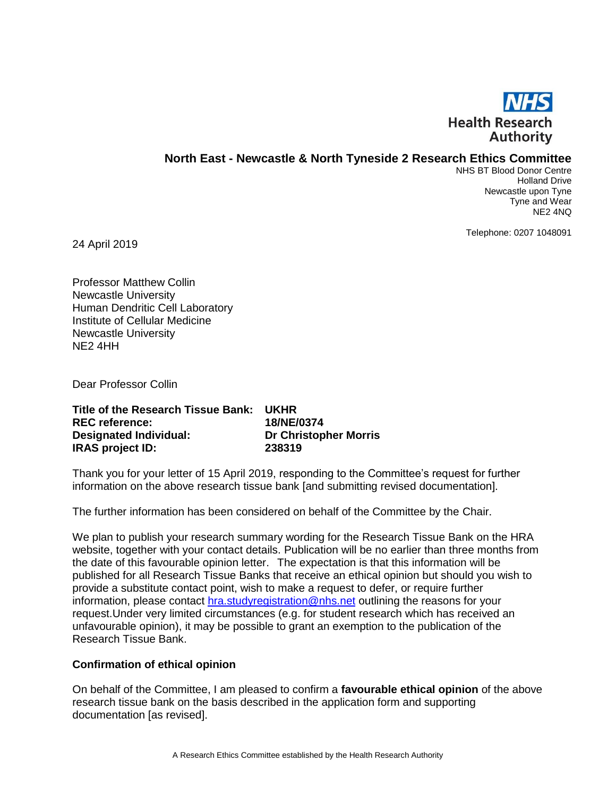

# **North East - Newcastle & North Tyneside 2 Research Ethics Committee**

NHS BT Blood Donor Centre Holland Drive Newcastle upon Tyne Tyne and Wear NE2 4NQ

Telephone: 0207 1048091

24 April 2019

Professor Matthew Collin Newcastle University Human Dendritic Cell Laboratory Institute of Cellular Medicine Newcastle University NE2 4HH

Dear Professor Collin

| Title of the Research Tissue Bank: | UKHR                         |
|------------------------------------|------------------------------|
| <b>REC</b> reference:              | 18/NE/0374                   |
| <b>Designated Individual:</b>      | <b>Dr Christopher Morris</b> |
| <b>IRAS project ID:</b>            | 238319                       |

Thank you for your letter of 15 April 2019, responding to the Committee's request for further information on the above research tissue bank [and submitting revised documentation].

The further information has been considered on behalf of the Committee by the Chair.

We plan to publish your research summary wording for the Research Tissue Bank on the HRA website, together with your contact details. Publication will be no earlier than three months from the date of this favourable opinion letter. The expectation is that this information will be published for all Research Tissue Banks that receive an ethical opinion but should you wish to provide a substitute contact point, wish to make a request to defer, or require further information, please contact [hra.studyregistration@nhs.net](mailto:hra.studyregistration@nhs.net) outlining the reasons for your request.Under very limited circumstances (e.g. for student research which has received an unfavourable opinion), it may be possible to grant an exemption to the publication of the Research Tissue Bank.

## **Confirmation of ethical opinion**

On behalf of the Committee, I am pleased to confirm a **favourable ethical opinion** of the above research tissue bank on the basis described in the application form and supporting documentation [as revised].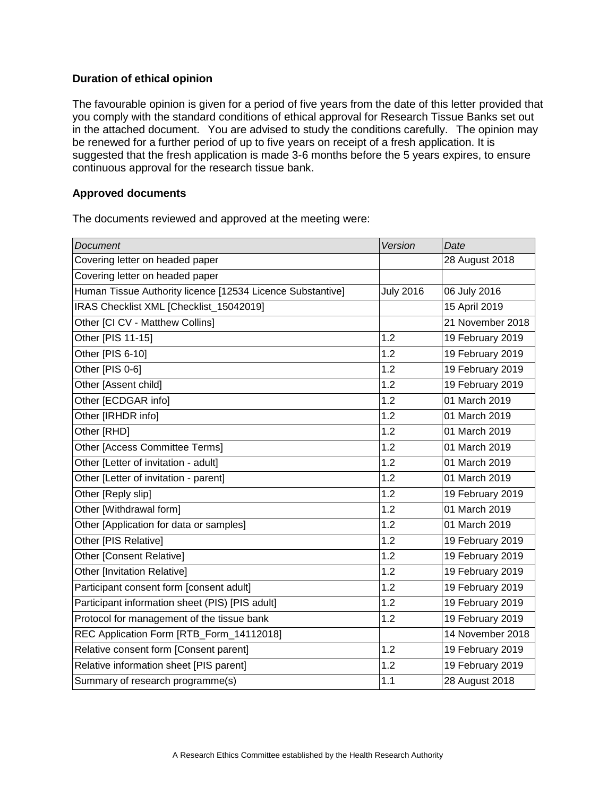# **Duration of ethical opinion**

The favourable opinion is given for a period of five years from the date of this letter provided that you comply with the standard conditions of ethical approval for Research Tissue Banks set out in the attached document. You are advised to study the conditions carefully. The opinion may be renewed for a further period of up to five years on receipt of a fresh application. It is suggested that the fresh application is made 3-6 months before the 5 years expires, to ensure continuous approval for the research tissue bank.

## **Approved documents**

The documents reviewed and approved at the meeting were:

| <b>Document</b>                                            | Version          | Date             |
|------------------------------------------------------------|------------------|------------------|
| Covering letter on headed paper                            |                  | 28 August 2018   |
| Covering letter on headed paper                            |                  |                  |
| Human Tissue Authority licence [12534 Licence Substantive] | <b>July 2016</b> | 06 July 2016     |
| IRAS Checklist XML [Checklist_15042019]                    |                  | 15 April 2019    |
| Other [CI CV - Matthew Collins]                            |                  | 21 November 2018 |
| Other [PIS 11-15]                                          | 1.2              | 19 February 2019 |
| Other [PIS 6-10]                                           | 1.2              | 19 February 2019 |
| Other [PIS 0-6]                                            | 1.2              | 19 February 2019 |
| Other [Assent child]                                       | 1.2              | 19 February 2019 |
| Other [ECDGAR info]                                        | 1.2              | 01 March 2019    |
| Other [IRHDR info]                                         | 1.2              | 01 March 2019    |
| Other [RHD]                                                | 1.2              | 01 March 2019    |
| Other [Access Committee Terms]                             | 1.2              | 01 March 2019    |
| Other [Letter of invitation - adult]                       | 1.2              | 01 March 2019    |
| Other [Letter of invitation - parent]                      | 1.2              | 01 March 2019    |
| Other [Reply slip]                                         | 1.2              | 19 February 2019 |
| Other [Withdrawal form]                                    | 1.2              | 01 March 2019    |
| Other [Application for data or samples]                    | 1.2              | 01 March 2019    |
| Other [PIS Relative]                                       | 1.2              | 19 February 2019 |
| Other [Consent Relative]                                   | 1.2              | 19 February 2019 |
| <b>Other [Invitation Relative]</b>                         | 1.2              | 19 February 2019 |
| Participant consent form [consent adult]                   | 1.2              | 19 February 2019 |
| Participant information sheet (PIS) [PIS adult]            | 1.2              | 19 February 2019 |
| Protocol for management of the tissue bank                 | 1.2              | 19 February 2019 |
| REC Application Form [RTB_Form_14112018]                   |                  | 14 November 2018 |
| Relative consent form [Consent parent]                     | 1.2              | 19 February 2019 |
| Relative information sheet [PIS parent]                    | 1.2              | 19 February 2019 |
| Summary of research programme(s)                           | 1.1              | 28 August 2018   |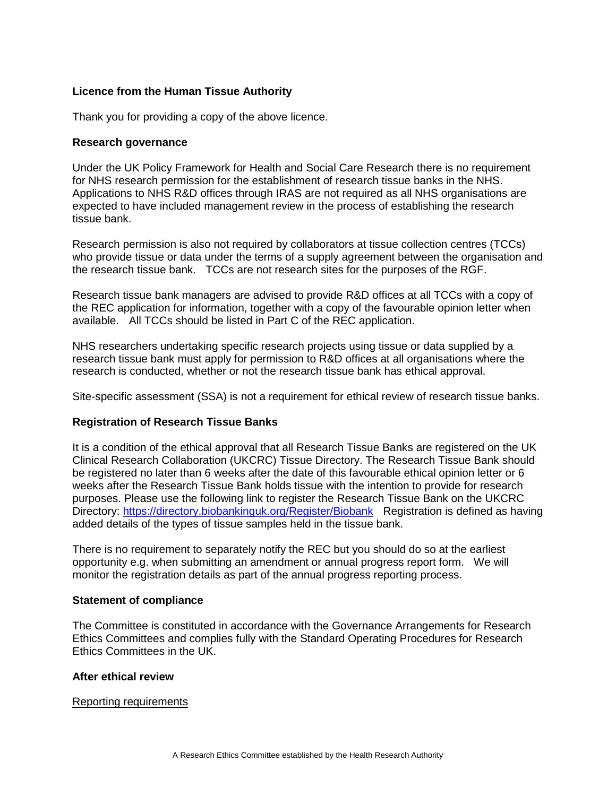# **Licence from the Human Tissue Authority**

Thank you for providing a copy of the above licence.

#### **Research governance**

Under the UK Policy Framework for Health and Social Care Research there is no requirement for NHS research permission for the establishment of research tissue banks in the NHS. Applications to NHS R&D offices through IRAS are not required as all NHS organisations are expected to have included management review in the process of establishing the research tissue bank.

Research permission is also not required by collaborators at tissue collection centres (TCCs) who provide tissue or data under the terms of a supply agreement between the organisation and the research tissue bank. TCCs are not research sites for the purposes of the RGF.

Research tissue bank managers are advised to provide R&D offices at all TCCs with a copy of the REC application for information, together with a copy of the favourable opinion letter when available. All TCCs should be listed in Part C of the REC application.

NHS researchers undertaking specific research projects using tissue or data supplied by a research tissue bank must apply for permission to R&D offices at all organisations where the research is conducted, whether or not the research tissue bank has ethical approval.

Site-specific assessment (SSA) is not a requirement for ethical review of research tissue banks.

## **Registration of Research Tissue Banks**

It is a condition of the ethical approval that all Research Tissue Banks are registered on the UK Clinical Research Collaboration (UKCRC) Tissue Directory. The Research Tissue Bank should be registered no later than 6 weeks after the date of this favourable ethical opinion letter or 6 weeks after the Research Tissue Bank holds tissue with the intention to provide for research purposes. Please use the following link to register the Research Tissue Bank on the UKCRC Directory:<https://directory.biobankinguk.org/Register/Biobank> Registration is defined as having added details of the types of tissue samples held in the tissue bank.

There is no requirement to separately notify the REC but you should do so at the earliest opportunity e.g. when submitting an amendment or annual progress report form. We will monitor the registration details as part of the annual progress reporting process.

## **Statement of compliance**

The Committee is constituted in accordance with the Governance Arrangements for Research Ethics Committees and complies fully with the Standard Operating Procedures for Research Ethics Committees in the UK.

## **After ethical review**

#### Reporting requirements